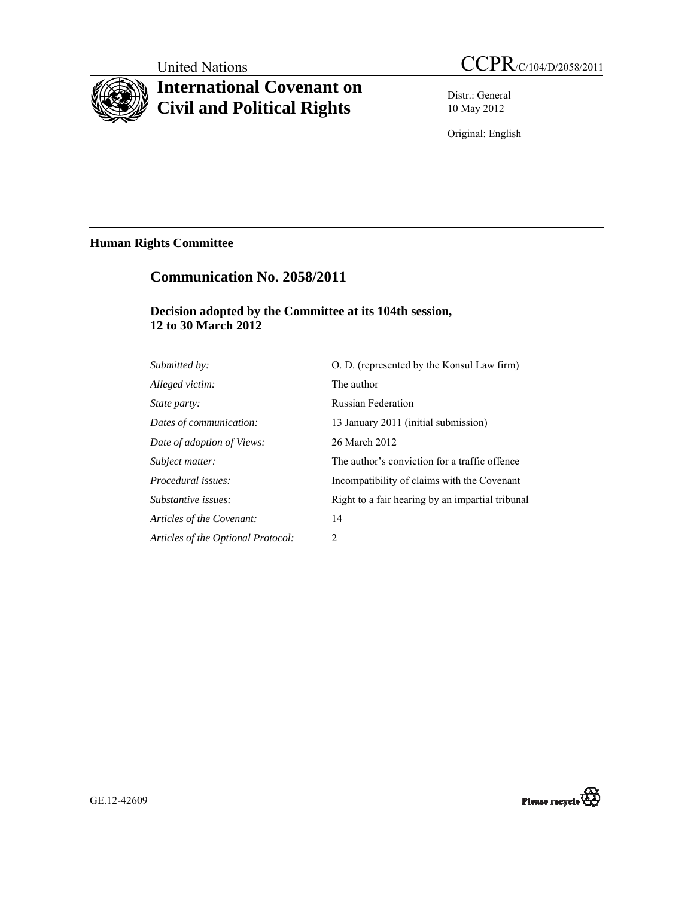# **International Covenant on Civil and Political Rights**

Distr.: General 10 May 2012

Original: English

## **Human Rights Committee**

## **Communication No. 2058/2011**

## **Decision adopted by the Committee at its 104th session, 12 to 30 March 2012**

| Submitted by:                      | O. D. (represented by the Konsul Law firm)       |
|------------------------------------|--------------------------------------------------|
| Alleged victim:                    | The author                                       |
| <i>State party:</i>                | <b>Russian Federation</b>                        |
| Dates of communication:            | 13 January 2011 (initial submission)             |
| Date of adoption of Views:         | 26 March 2012                                    |
| Subject matter:                    | The author's conviction for a traffic offence    |
| Procedural issues:                 | Incompatibility of claims with the Covenant      |
| Substantive issues:                | Right to a fair hearing by an impartial tribunal |
| Articles of the Covenant:          | 14                                               |
| Articles of the Optional Protocol: | 2                                                |

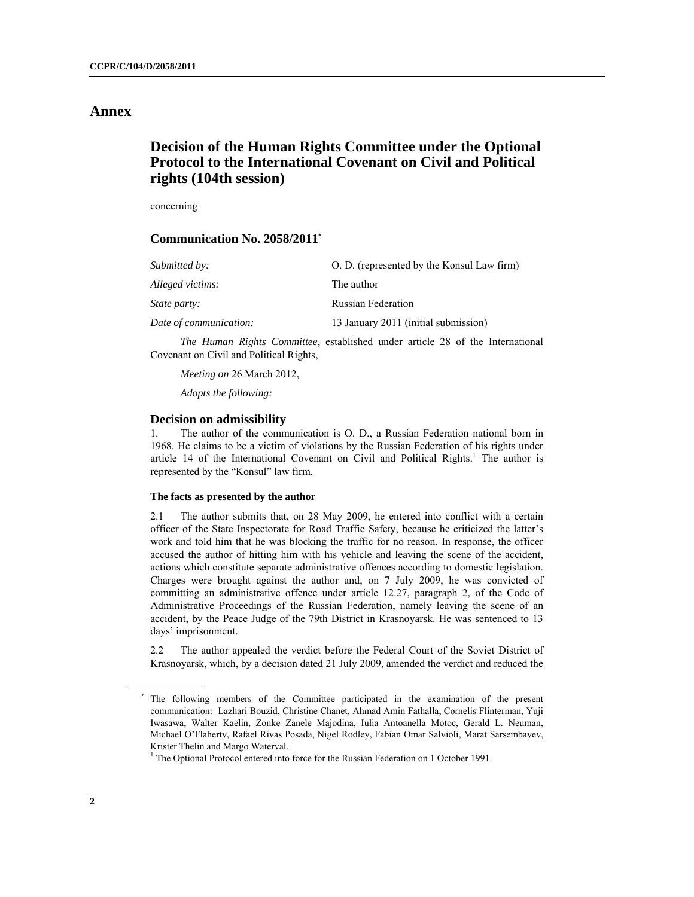### **Annex**

## **Decision of the Human Rights Committee under the Optional Protocol to the International Covenant on Civil and Political rights (104th session)**

concerning

#### **Communication No. 2058/2011\***

| Submitted by:          | O. D. (represented by the Konsul Law firm) |
|------------------------|--------------------------------------------|
| Alleged victims:       | The author                                 |
| State party:           | <b>Russian Federation</b>                  |
| Date of communication: | 13 January 2011 (initial submission)       |

 *The Human Rights Committee*, established under article 28 of the International Covenant on Civil and Political Rights,

*Meeting on* 26 March 2012,

*Adopts the following:* 

#### **Decision on admissibility**

1. The author of the communication is O. D., a Russian Federation national born in 1968. He claims to be a victim of violations by the Russian Federation of his rights under article 14 of the International Covenant on Civil and Political Rights.<sup>1</sup> The author is represented by the "Konsul" law firm.

#### **The facts as presented by the author**

2.1 The author submits that, on 28 May 2009, he entered into conflict with а certain officer of the State Inspectorate for Road Traffic Safety, because he criticized the latter's work and told him that he was blocking the traffic for no reason. In response, the officer accused the author of hitting him with his vehicle and leaving the scene of the аccident, actions which constitute separate administrative offences according to domestic legislation. Charges were brought against the author and, on 7 July 2009, he was convicted of committing an administrative offence under article 12.27, paragraph 2, of the Code of Administrative Proceedings of the Russian Federation, namely leaving the scene of an accident, by the Peace Judge of the 79th District in Krasnoyarsk. He was sentenced to 13 days' imprisonment.

2.2 The author appealed the verdict before the Federal Court of the Soviet District of Krasnoyarsk, which, by a decision dated 21 July 2009, amended the verdict and reduced the

<sup>\*</sup> The following members of the Committee participated in the examination of the present communication: Lazhari Bouzid, Christine Chanet, Ahmad Amin Fathalla, Cornelis Flinterman, Yuji Iwasawa, Walter Kaelin, Zonke Zanele Majodina, Iulia Antoanella Motoc, Gerald L. Neuman, Michael O'Flaherty, Rafael Rivas Posada, Nigel Rodley, Fabian Omar Salvioli, Marat Sarsembayev, Krister Thelin and Margo Waterval.

 $1$  The Optional Protocol entered into force for the Russian Federation on 1 October 1991.